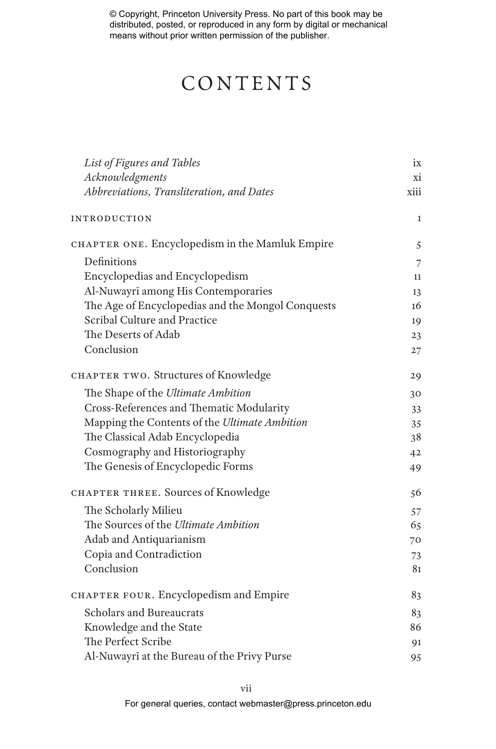# $CONTENTS$ means without prior written permission of the publisher.

| List of Figures and Tables                        | ix           |
|---------------------------------------------------|--------------|
| Acknowledgments                                   | хi           |
| Abbreviations, Transliteration, and Dates         | xiii         |
| <b>INTRODUCTION</b>                               | $\mathbf{1}$ |
| CHAPTER ONE. Encyclopedism in the Mamluk Empire   | 5            |
| Definitions                                       | 7            |
| Encyclopedias and Encyclopedism                   | 11           |
| Al-Nuwayrī among His Contemporaries               | 13           |
| The Age of Encyclopedias and the Mongol Conquests | 16           |
| Scribal Culture and Practice                      | 19           |
| The Deserts of Adab                               | 23           |
| Conclusion                                        | 27           |
| CHAPTER TWO. Structures of Knowledge              | 29           |
| The Shape of the Ultimate Ambition                | 30           |
| Cross-References and Thematic Modularity          | 33           |
| Mapping the Contents of the Ultimate Ambition     | 35           |
| The Classical Adab Encyclopedia                   | 38           |
| Cosmography and Historiography                    | 42           |
| The Genesis of Encyclopedic Forms                 | 49           |
| CHAPTER THREE. Sources of Knowledge               | 56           |
| The Scholarly Milieu                              | 57           |
| The Sources of the Ultimate Ambition              | 65           |
| Adab and Antiquarianism                           | 70           |
| Copia and Contradiction                           | 73           |
| Conclusion                                        | 81           |
| CHAPTER FOUR. Encyclopedism and Empire            | 83           |
| <b>Scholars and Bureaucrats</b>                   | 83           |
| Knowledge and the State                           | 86           |
| The Perfect Scribe                                | 91           |
| Al-Nuwayrī at the Bureau of the Privy Purse       | 95           |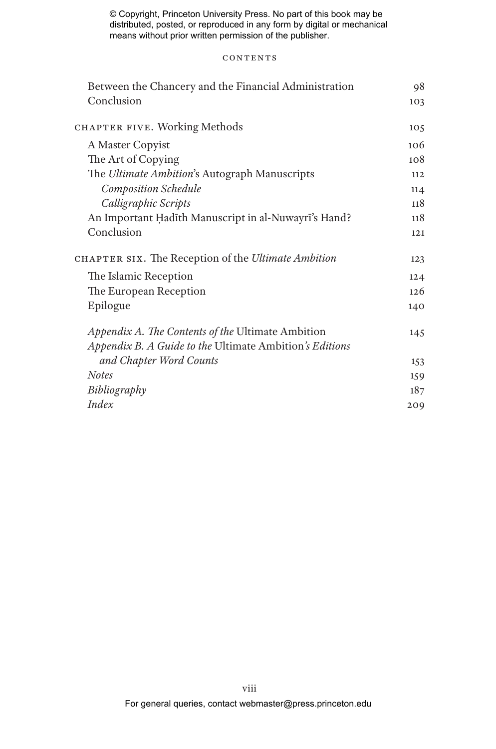## **CONTENTS** © Copyright, Princeton University Press. No part of this book may be

| Between the Chancery and the Financial Administration   | 98  |
|---------------------------------------------------------|-----|
| Conclusion                                              | 103 |
| CHAPTER FIVE. Working Methods                           | 105 |
| A Master Copyist                                        | 106 |
| The Art of Copying                                      | 108 |
| The Ultimate Ambition's Autograph Manuscripts           | 112 |
| <b>Composition Schedule</b>                             | 114 |
| Calligraphic Scripts                                    | 118 |
| An Important Hadīth Manuscript in al-Nuwayrī's Hand?    | 118 |
| Conclusion                                              | 121 |
| CHAPTER SIX. The Reception of the Ultimate Ambition     | 123 |
| The Islamic Reception                                   | 124 |
| The European Reception                                  | 126 |
| Epilogue                                                | 140 |
| Appendix A. The Contents of the Ultimate Ambition       | 145 |
| Appendix B. A Guide to the Ultimate Ambition's Editions |     |
| and Chapter Word Counts                                 | 153 |
| <b>Notes</b>                                            | 159 |
| Bibliography                                            | 187 |
| Index                                                   | 209 |
|                                                         |     |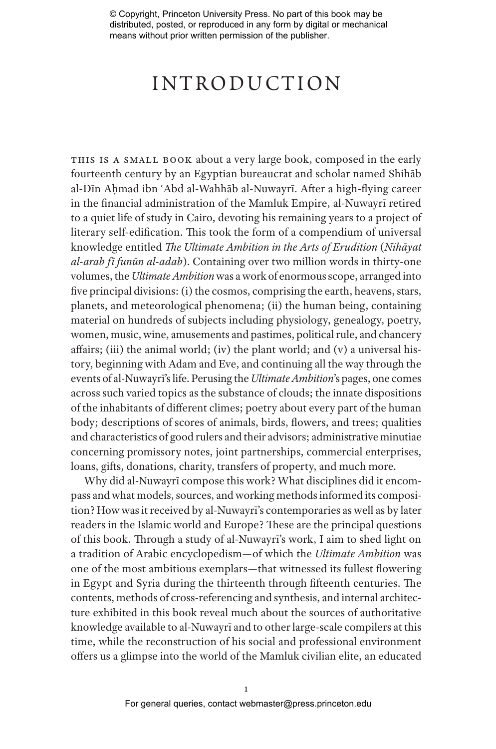# INTRODUCTION means without prior written permission of the publisher.

THIS IS A SMALL BOOK about a very large book, composed in the early fourteenth century by an Egyptian bureaucrat and scholar named Shihāb al-Dīn Aḥmad ibn 'Abd al-Wahhāb al-Nuwayrī. After a high-flying career in the financial administration of the Mamluk Empire, al-Nuwayrī retired to a quiet life of study in Cairo, devoting his remaining years to a project of literary self-edification. This took the form of a compendium of universal knowledge entitled *The Ultimate Ambition in the Arts of Erudition* (*Nihāyat al-arab fī funūn al-adab*). Containing over two million words in thirty-one volumes, the *Ultimate Ambition* was a work of enormous scope, arranged into *volumes, the cummu rimotion* was a work of chormous scope, arranged momentum and of the principal divisions: (i) the cosmos, comprising the earth, heavens, stars, planets, and meteorological phenomena; (ii) the human being, containing material on hundreds of subjects including physiology, genealogy, poetry, women, music, wine, amusements and pastimes, political rule, and chancery affairs; (iii) the animal world; (iv) the plant world; and  $(v)$  a universal history, beginning with Adam and Eve, and continuing all the way through the events of al-Nuwayrī's life. Perusing the *Ultimate Ambition*'s pages, one comes across such varied topics as the substance of clouds; the innate dispositions of the inhabitants of different climes; poetry about every part of the human body; descriptions of scores of animals, birds, flowers, and trees; qualities and characteristics of good rulers and their advisors; administrative minutiae concerning promissory notes, joint partnerships, commercial enterprises, loans, gifts, donations, charity, transfers of property, and much more. Internative, which and sentence and pastmes, pointear rule, and enance<br>in (iii) the enimal world: (iv) the plant world: and (v) a universal refining with riddin and Eve, and continuing an the way infought<br>of al-Nuwayri's life. Derusing the Ultimate Ambition's pages, one co such varied to presus the substance or crouds, the finale disposit. accerptions of secres of animals, oftes, howers, and trees, quali<br>aracteristics of good rulers and their advisors: administrative minu thing promotory notes, joint purtherships, commercial enterpri-<br>gifts donations charity transfers of property and much more

Why did al- Nuwayrī compose this work? What disciplines did it encompass and what models, sources, and working methods informed its composition? How was it received by al- Nuwayrī's contemporaries as well as by later readers in the Islamic world and Europe? These are the principal questions of this book. Through a study of al-Nuwayrī's work, I aim to shed light on a tradition of Arabic encyclopedism—of which the *Ultimate Ambition* was a one of the most ambitious exemplars—that witnessed its fullest flowering in Egypt and Syria during the thirteenth through fifteenth centuries. The contents, methods of cross- referencing and synthesis, and internal architecture exhibited in this book reveal much about the sources of authoritative knowledge available to al-Nuwayrī and to other large-scale compilers at this time, while the reconstruction of his social and professional environment offers us a glimpse into the world of the Mamluk civilian elite, an educated of what models sources and working methods informed its community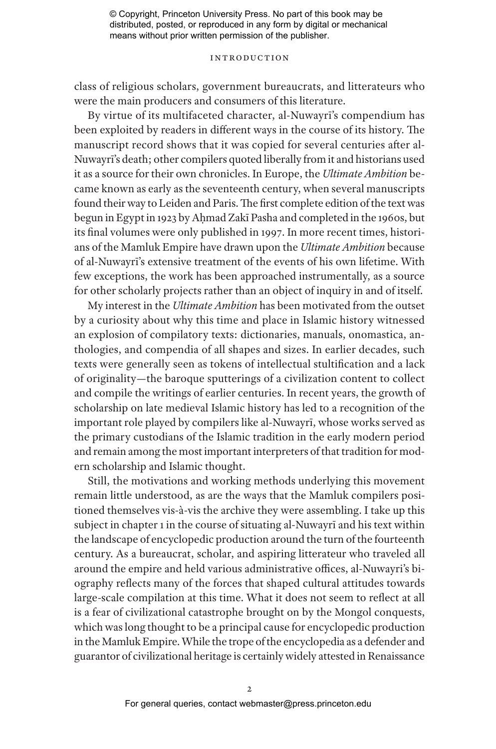## Introduction © Copyright, Princeton University Press. No part of this book may be

class of religious scholars, government bureaucrats, and litterateurs who were the main producers and consumers of this literature.

Fo the main producers and consumers of this nectature.<br>By virtue of its multifaceted character, al-Nuwayrī's compendium has been exploited by readers in different ways in the course of its history. The manuscript record shows that it was copied for several centuries after al-Nuwayrī's death; other compilers quoted liberally from it and historians used it as a source for their own chronicles. In Europe, the *Ultimate Ambition* became known as early as the seventeenth century, when several manuscripts found their way to Leiden and Paris. The first complete edition of the text was begun in Egypt in 1923 by Aḥmad Zakī Pasha and completed in the 1960s, but *List of Illustrations and Maps* vii its final volumes were only published in 1997. In more recent times, historians of the Mamluk Empire have drawn upon the *Ultimate Ambition* because *also state mannum Empire have drawn upon the Chimate Himeliton secured* few exceptions, the work has been approached instrumentally, as a source for other scholarly projects rather than an object of inquiry in and of itself.

My interest in the *Ultimate Ambition* has been motivated from the outset by a curiosity about why this time and place in Islamic history witnessed an explosion of compilatory texts: dictionaries, manuals, onomastica, anthologies, and compendia of all shapes and sizes. In earlier decades, such texts were generally seen as tokens of intellectual stultification and a lack of originality—the baroque sputterings of a civilization content to collect and compile the writings of earlier centuries. In recent years, the growth of scholarship on late medieval Islamic history has led to a recognition of the important role played by compilers like al- Nuwayrī, whose works served as the primary custodians of the Islamic tradition in the early modern period and remain among the most important interpreters of that tradition for modern scholarship and Islamic thought.<br>
Eindig Patrick in the Middle Ages 1833 aprosion of compnatory teats. thereforances, manuals, onomastica reference to the baronic control of interfectual statements and a empire the writings of earner centaries. In recent years, the grow<br>archip on late medieval Islamic history has led to a recognition of 3 Cantron pay of 5 J complete the at 1 Graphy, whose wome can 4 Religion in Britain and Islamic thought<br>holarship and Islamic thought

Still, the motivations and working methods underlying this movement remain little understood, as are the ways that the Mamluk compilers positioned themselves vis-à-vis the archive they were assembling. I take up this subject in chapter 1 in the course of situating al-Nuwayrī and his text within the landscape of encyclopedic production around the turn of the fourteenth **CERT AND AND THE CONSTRAINT OF THE CONSTRAINS CONSTRAINS CONSTRAINS CONSTRAINING** around the empire and held various administrative offices, al-Nuwayri's biography reflects many of the forces that shaped cultural attitudes towards large-scale compilation at this time. What it does not seem to reflect at all is a fear of civilizational catastrophe brought on by the Mongol conquests, *Index* 261 which was long thought to be a principal cause for encyclopedic production v in the Mamluk Empire. While the trope of the encyclopedia as a defender and guarantor of civilizational heritage is certainly widely attested in Renaissance is, the mean and it came is the way that the Mamluk compilers is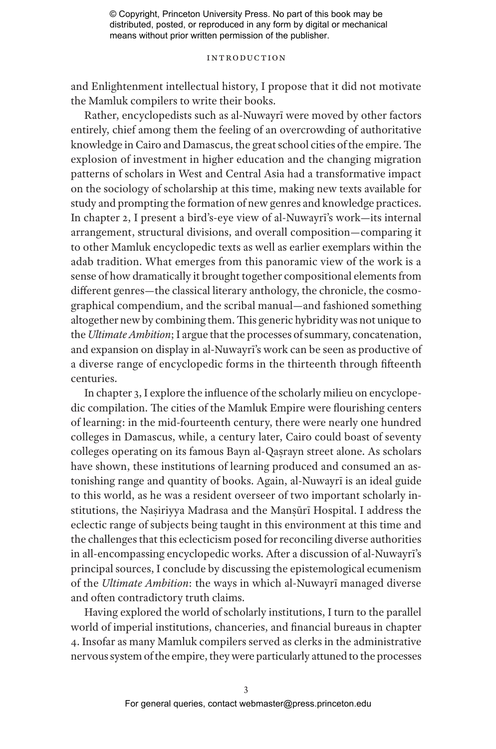## Introduction  $P$  copyright,  $P$  and  $P$  is book may be of this book may be of this book may be obtained in this book may be obtained in the set of this book may be obtained in the set of the set of the set of the set of the set of the

and Enlightenment intellectual history, I propose that it did not motivate the Mamluk compilers to write their books.

Rather, encyclopedists such as al-Nuwayrī were moved by other factors entirely, chief among them the feeling of an overcrowding of authoritative knowledge in Cairo and Damascus, the great school cities of the empire. The explosion of investment in higher education and the changing migration patterns of scholars in West and Central Asia had a transformative impact on the sociology of scholarship at this time, making new texts available for study and prompting the formation of new genres and knowledge practices. In chapter 2, I present a bird's-eye view of al-Nuwayrī's work—its internal arrangement, structural divisions, and overall composition—comparing it to other Mamluk encyclopedic texts as well as earlier exemplars within the adab tradition. What emerges from this panoramic view of the work is a adab tradition. sense of how dramatically it brought together compositional elements from different genres—the classical literary anthology, the chronicle, the cosmographical compendium, and the scribal manual—and fashioned something  $\operatorname{altogether}$  new by combining them. This generic hybridity was not unique to the *Ultimate Ambition*; I argue that the processes of summary, concatenation, and expansion on display in al-Nuwayrī's work can be seen as productive of a diverse range of encyclopedic forms in the thirteenth through fifteenth<br>centuries centuries. ies.<br>2 Captivity 94 Captivity 94 Captivity 94 Captivity 94 Captivity 94 Captivity 94 Captivity 94 Captivity 94 Capt International Community, and the processes of summary, concatenation on display in al-Nuwayri's work can be seen as productive

In chapter 3, I explore the influence of the scholarly milieu on encyclopedic compilation. The cities of the Mamluk Empire were flourishing centers of learning: in the mid- fourteenth century, there were nearly one hundred colleges in Damascus, while, a century later, Cairo could boast of seventy colleges operating on its famous Bayn al- Qaṣrayn street alone. As scholars have shown, these institutions of learning produced and consumed an astonishing range and quantity of books. Again, al- Nuwayrī is an ideal guide to this world, as he was a resident overseer of two important scholarly institutions, the Naṣiriyya Madrasa and the Manṣūrī Hospital. I address the eclectic range of subjects being taught in this environment at this time and the challenges that this eclecticism posed for reconciling diverse authorities **In all-encompassing encyclopedic works. After a discussion of al-Nuwayrī's** principal sources, I conclude by discussing the epistemological ecumenism of the *Ultimate Ambition*: the ways in which al-Nuwayrī managed diverse and often contradictory truth claims. mapter 3, 1 explore the influence of the senoully immed on encycle and the time to account centery, there were nearly one name to operating on no tamous buyit at square in direct atomet the center.<br>hown these institutions of learning produced and consumed an superintent of two important scholarly

Having explored the world of scholarly institutions, I turn to the parallel *Index* 261 world of imperial institutions, chanceries, and financial bureaus in chapter 4. Insofar as many Mamluk compilers served as clerks in the administrative nervous system of the empire, they were particularly attuned to the processes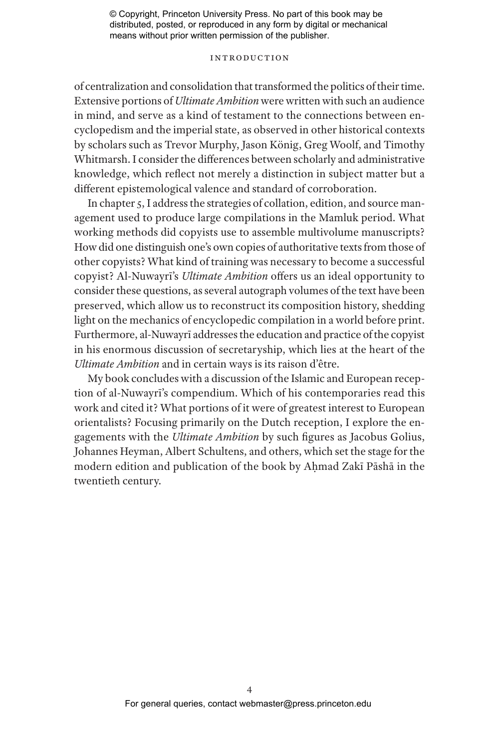## Introduction © Copyright, Princeton University Press. No part of this book may be

of centralization and consolidation that transformed the politics of their time. Extensive portions of *Ultimate Ambition* were written with such an audience in mind, and serve as a kind of testament to the connections between encyclopedism and the imperial state, as observed in other historical contexts by scholars such as Trevor Murphy, Jason König, Greg Woolf, and Timothy Whitmarsh. I consider the differences between scholarly and administrative knowledge, which reflect not merely a distinction in subject matter but a different epistemological valence and standard of corroboration.

In chapter 5, I address the strategies of collation, edition, and source management used to produce large compilations in the Mamluk period. What working methods did copyists use to assemble multivolume manuscripts? How did one distinguish one's own copies of authoritative texts from those of Frow and one distinguish one *Pown* express of during that  $P$  texts from those of other copyists? What kind of training was necessary to become a successful copyist? Al-Nuwayri's *Ultimate Ambition* offers us an ideal opportunity to consider these questions, as several autograph volumes of the text have been consider these questions, as several autograph volumes of the text have been preserved, which allow us to reconstruct its composition history, shedding light on the mechanics of encyclopedic compilation in a world before print.  $\;$ Furthermore, al- Nuwayrī addresses the education and practice of the copyist in his enormous discussion of secretaryship, which lies at the heart of the  $\overline{\phantom{a}}$ *Ultimate Ambition* and in certain ways is its raison d'être. Intrinuity, as interesting and tests the concentration and practice of the copy

My book concludes with a discussion of the Islamic and European reception of al- Nuwayrī's compendium. Which of his contemporaries read this work and cited it? What portions of it were of greatest interest to European orientalists? Focusing primarily on the Dutch reception, I explore the engagements with the *Ultimate Ambition* by such figures as Jacobus Golius, Johannes Heyman, Albert Schultens, and others, which set the stage for the modern edition and publication of the book by Aḥmad Zakī Pāshā in the twentieth century. the *information* certain ways is no raison of the.<br>book concludes with a discussion of the Islamic and European re 2 Patrick of the Component Component Component Component Component Component Component Component Component Compo<br>2 Patrick Survey Component Component Component Component Component Component Component Component Component Co answer Couring permanaly on the Butter cooption, I inprove the<br>sents with the *Ultimate Ambition* by such figures as Iacobus Go the stepman, the executions, and editers, which see the stage to<br>rn edition and nublication of the book by Ahmad Zakī Pāshā ir  $\frac{1}{2}$  The Missionary Life 1544  $\frac{1}{2}$  and  $\frac{1}{2}$  1544  $\frac{1}{2}$  and  $\frac{1}{2}$  and  $\frac{1}{2}$  and  $\frac{1}{2}$  and  $\frac{1}{2}$  and  $\frac{1}{2}$  and  $\frac{1}{2}$  and  $\frac{1}{2}$  and  $\frac{1}{2}$  and  $\frac{1}{2}$  and  $\frac{1}{2}$  and  $\frac$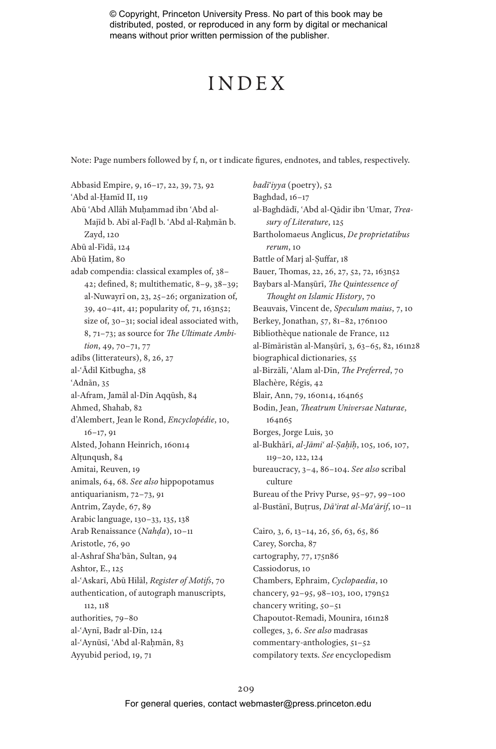# $INDEX$  $\blacksquare$  means we have published permission of the publisher.

Note: Page numbers followed by f, n, or t indicate figures, endnotes, and tables, respectively.

Abbasid Empire, 9, 16-17, 22, 39, 73, 92 ʿAbd al- Ḥamīd II, 119 Abū ʿAbd Allāh Muḥammad ibn ʿAbd al-Majīd b. Abī al- Faḍl b. ʿAbd al- Raḥmān b. Zayd, 120 Abū al- Fidā, 124 Abū Ḥatim, 80 adab compendia: classical examples of, 38– 42; de ned, 8; multithematic, 8– 9, 38– 39; 39, 40– 41t, 41; popularity of, 71, 163n52; size of, 30-31; social ideal associated with, 8, 71-73; as source for *The Ultimate Ambi*tion, 49, 70-71, 77 adībs (litterateurs), 8, 26, 27 al- ʿĀdil Kitbugha, 58 ʿAdnān, 35 al- Afram, Jamāl al- Dīn Aqqūsh, 84 Ahmed, Shahab, 82 d'Alembert, Jean le Rond, *Encyclopédie*, 10,  $16 - 17, 91$ Alsted, Johann Heinrich, 160n14 Alṭunqush, 84 Amitai, Reuven, 19 animals, 64, 68. *See also* hippopotamus antiquarianism, 72– 73, 91 Antrim, Zayde, 67, 89 Arabic language, 130–33, 135, 138 Arab Renaissance (*Nahḍa*), 10– 11 Aristotle, 76, 90 al- Ashraf Shaʿbān, Sultan, 94 Epilogue: Remembering Saint Patrick 218 Ashtor, E., 125 al- ʿAskarī, Abū Hilāl, *Register of Motifs*, 70 authentication, of autograph manuscripts, 112, 118 authorities, 79– 80 al-'Aynī, Badr al-Dīn, 124 al-'Aynūsī, 'Abd al-Raḥmān, 83 Ayyubid period, 19, 71 d, 19, 71 compilatory texts. *See* encyclopedism

al-Nuwayrī on, 23, 25–26; organization of, Thought on Islamic History, 70 *badīʿiyya* (poetry), 52 Baghdad,  $16-17$ ad ibn ʿAbd al-<br> **Abd al-Dahmān barrası bağlanma** *çağı itanetine and* Maps *sury of Literature*, 125 Bartholomaeus Anglicus, *De proprietatibus rerum*, 10 <sup>1</sup><br>Battle of Marj al-Suffar, 18<br>*Press Therma* via a 6 and 1 Bauer, Thomas, 22, 26, 27, 52, 72, 163n52 c, 8–9, 38–39; Baybars al-Manṣūrī, *The Quintessence of Thought on Islamic History*, 70 *Beauvais, Vincent de, Speculum maius*, 7, 10 of, 30–31; social ideal associated with, Berkey, Jonathan, 57, 81–82, 176n100 Bibliothèque nationale de France, 112  $n, 49, 70-71, 77$  al-Bīmāristān al-Manṣūrī, 3, 63–65, 82, 161n28 biographical dictionaries, 55 2 Patrick's Ireland 61 <sup>2</sup> al-Birzālī, ʿAlam al-Dīn, *The Preferred*, 70 Blachère, Régis, 42 Blair, Ann, 79, 160n14, 164n65 Shahab, 82 Bodin, Jean, *Theatrum Universae Naturae*, 164n65 7, 91 Borges, Jorge Luis, 30 al-Bukhārī, *al-Jāmi<sup>s</sup> al- Șaḥīḥ*, 105, 106, 107, chann Heinrich, 160n14 119– 20, 122, 124 Reuven, 19 **bureaucracy**, 3-4, 86-104. *See also* scribal culture  $B = \frac{1}{2}$   $\frac{1}{2}$ ,  $\frac{1}{2}$ ,  $\frac{1}{2}$ ,  $\frac{1}{2}$ ,  $\frac{1}{2}$ ,  $\frac{1}{2}$ ,  $\frac{1}{2}$ ,  $\frac{1}{2}$ ,  $\frac{1}{2}$ ,  $\frac{1}{2}$ ,  $\frac{1}{2}$ ,  $\frac{1}{2}$ ,  $\frac{1}{2}$ ,  $\frac{1}{2}$ ,  $\frac{1}{2}$ ,  $\frac{1}{2}$ ,  $\frac{1}{2}$ ,  $\frac{1}{2}$ ,  $\frac{1}{2}$ , al- Bustānī, Buṭrus, *Dāʾirat al- Maʿārif*, 10– 11 Epilogue: Remembering Saint Patrick 218 Cairo, 3, 6, 13– 14, 26, 56, 63, 65, 86 *Cited Scholarship and Further Reading* 237 Carey, Sorcha, 87 cartography, 77, 175n86 Cassiodorus, 10 al, *Register of Motifs*, 70 Chambers, Ephraim, *Cyclopaedia*, 10<br>
untograph manuscripts chancery 02–05, 08–102, 100, 170053 chancery, 92-95, 98-103, 100, 179n52 chancery writing, 50-51 Chapoutot-Remadi, Mounira, 161n28 colleges, 3, 6. *See also* madrasas commentary-anthologies, 51-52 1, Jamai ai-Din Aqqusii, 04<br>2 Rodin Jean *Theatrum Universae Naturae*<br>2 Rodin Jean *Theatrum Universae Naturae*  $\frac{119-20}{12}$ , 122, 124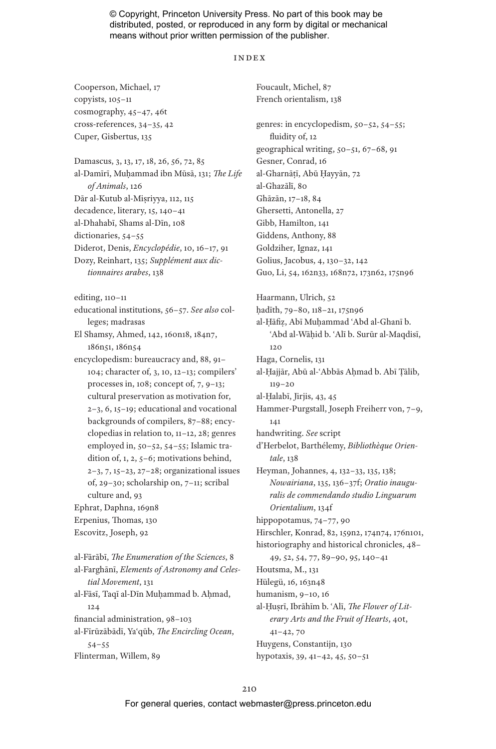## Index  $\mathcal{L}(\mathcal{D}, \mathcal{D})$

Cooperson, Michael, 17  $copyists, 105-11$  $cosmography, 45-47, 46t$ cross-references, 34-35, 42 Cuper, Gisbertus, 135 Damascus, 3, 13, 17, 18, 26, 56, 72, 85 al-Damīrī, Muhammad ibn Mūsā, 131; The Life *of Animals*, 126 Dār al-Kutub al-Miṣriyya, 112, 115 decadence, literary, 15, 140– 41 al- Dhahabī, Shams al- Dīn, 108 dictionaries, 54-55 Diderot, Denis, *Encyclopédie*, 10, 16-17, 91 Dozy, Reinhart, 135; *Supplément aux dictionnaires arabes*, 138 editing, 110-11 educational institutions, 56-57. See also colleges; madrasas El Shamsy, Ahmed, 142, 160n18, 184n7, 186n51, 186n54 encyclopedism: bureaucracy and, 88, 91– 2 Patrick's Ireland 61 104; character of, 3, 10, 12– 13; compilers' processes in, 108; concept of, 7, 9–13;  $119-20$ cultural preservation as motivation for,  $2-3, 6, 15-19$ ; educational and vocational backgrounds of compilers, 87-88; ency- $\alpha$  clopedias in relation to, 11-12, 28; genres handwriting. See script employed in, 50-52, 54-55; Islamic tradition of, 1, 2,  $5-6$ ; motivations behind,  $tale$ , 138  $2-3, 7, 15-23, 27-28$ ; organizational issues of, 29– 30; scholarship on, 7– 11; scribal culture and, 93 Ephrat, Daphna, 169n8 Erpenius, Thomas, 130 Escovitz, Joseph, 92 al-Fārābī, *The Enumeration of the Sciences*, 8 *Ag* al- Farghānī, *Elements of Astronomy and Celestial Movement*, 131 al- Fāsī, Taqī al- Dīn Muḥammad b. Aḥmad, *Cited Scholarship and Further Reading* 237 124 financial administration, 98-103 al-Fīrūzābādī, Ya'qūb, The Encircling Ocean,  $54 - 55$ Flinterman, Willem, 89 n, Michael, 17 Foucault, Michel, 87 French orientalism, 138 Gesner, Conrad, 16 Ghersetti, Antonella, 27 *List of Illustrations and Maps* vii Giddens, Anthony, 88 *of The Columner*, *Left of Illustration*<br>*Plément aux dic* Golius, Jacobus, 4, 130–32, 142 ng, 110-11 Haarmann, Ulrich, 52 al- Ḥā ẓ, Abī Muḥammad ʿAbd al- Ghanī b. 1 Patrick's Britain 29 120 character of, 3, 10, 12-13; compilers' al-Ḥajjār, Abū al-ʿAbbās Aḥmad b. Abī Țālib, , 6, 15–19; educational and vocational Hammer-Purgstall, Joseph Freiherr von, 7–9, 141 de Main Fraction to, 11–12, 26, genres the Mandwriding. *See S*erpe<br>bloyed in, 50–52, 54–55; Islamic tra-and Herbelot, Barthélemy, *Bibliothèque Orien-*, 7, 15-23, 27-28; organizational issues Heyman, Johannes, 4, 132-33, 135, 138; ralis de commendando studio Linguarum *ralis de commendando studio Linguarum*<br>
en el commendando studio Linguarum us, Thomas, 130 hippopotamus, 74-77, 90 historiography and historical chronicles, 48–<br>  $\frac{1}{2}$ Villem, 89 hypotaxis, 39, 41–42, 45, 50–51  $\frac{1}{100}$  The and of Legend and of Legend and of History 1.1 September 1.1 September 1.1 September 1.20 ural preservation as motivation for, al-Halabi, Jirjis, 43, 45<br>6.15.10: educational and vocational — Hammar Burgstall, Joseph Freiberr von  $\frac{55}{100}$  Solidarian point,  $\frac{1}{100}$  seriour contract the main  $\frac{1}{100}$  and  $\frac{1}{100}$  and  $\frac{1}{100}$  and  $\frac{1}{100}$  and  $\frac{1}{100}$  and  $\frac{1}{100}$  and  $\frac{1}{100}$  and  $\frac{1}{100}$  and  $\frac{1}{100}$  and  $\frac{1}{10$ 

genres: in encyclopedism, 50-52, 54-55; fluidity of, 12 geographical writing, 50-51, 67-68, 91 al-Gharnātī, Abū Hayyān, 72 al- Ghazālī, 80 Ghāzān, 17– 18, 84 Gibb, Hamilton, 141 Goldziher, Ignaz, 141 Guo, Li, 54, 162n33, 168n72, 173n62, 175n96 radinami, enter, 32<br>col-<br>hadīth, 79–80, 118–21, 175n96 'Abd al-Wāhid b. 'Alī b. Surūr al-Maqdisī, Haga, Cornelis, 131  $119 - 20$ al- Ḥalabī, Jirjis, 43, 45 handwriting. *See* script *tale*, 138 *Nowairiana*, 135, 136– 37f; *Oratio inaugu-Orientalium*, 134f Hirschler, Konrad, 82, 159n2, 174n74, 176n101, *Cited Scholarship and Further Reading* 237 49, 52, 54, 77, 89– 90, 95, 140– 41 Houtsma, M., 131 Hülegü, 16, 163n48 humanism, 9-10, 16 al-Ḥuṣrī, Ibrāhīm b. ʿAlī, *The Flower of Literary Arts and the Fruit of Hearts*, 40t,  $41 - 42, 70$ Huygens, Constantijn, 130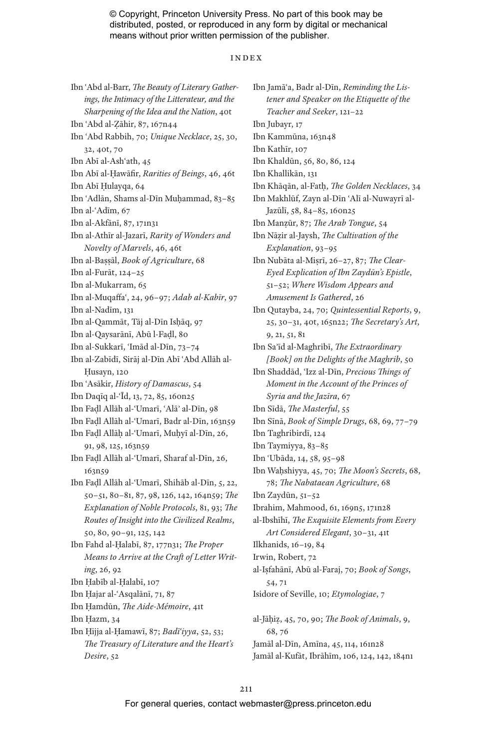## Index  $\mathcal{L}$  copyright,  $\mathcal{L}$  and  $\mathcal{L}$  this book may be the this book may be this book may be this book may be this book may be this book may be the this book may be the this book may be the this book may be the this b

Ibn 'Abd al-Barr, *The Beauty of Literary Gather-* Ibn Jamā'a, Badr al-E *ings, the Intimacy of the Litterateur, and the Sharpening of the Idea and the Nation*, 40t Teache Ibn 'Abd al-Zāhir, 87, 167n44 Ibn ʿAbd Rabbih, 70; *Unique Necklace*, 25, 30, 32, 40t, 70 Ibn Abī al- Ashʿath, 45 Ibn Abī al- Ḥawā r, *Rarities of Beings*, 46, 46t Ibn Abī Ḥulayqa, 64 Ibn 'Adlān, Shams al-Dīn Muḥammad, 83-85 Ibn al-'Adīm, 67 Ibn al-Akfānī, 87, 171n31 Ibn al- Athīr al- Jazarī, *Rarity of Wonders and Novelty of Marvels*, 46, 46t Ibn al- Baṣṣāl, *Book of Agriculture*, 68 Ibn al-Furāt,  $124-25$ Ibn al- Mukarram, 65 1911 al-Muqaffa', 24, 96–97; *Adab al-Kabīr*, 97 *International Sathered*, 26 Ibn al- Nadīm, 131 Ibn al- Qammāt, Tāj al- Dīn Isḥāq, 97 Ibn al-Qaysarānī, Abū l-Fadl, 80 Ibn al- Sukkarī, ʿImād al- Dīn, 73– 74 Ibn al- Zabīdī, Sirāj al- Dīn Abī ʿAbd Allāh al-Ḥusayn, 120 Ibn ʿAsākir, *History of Damascus*, 54 Ibn Daqīq al- ʿĪd, 13, 72, 85, 160n25 Ibn Faḍl Allāh al-ʿUmarī, ʿAlāʾ al-Dīn, 98 lbn Sīdā, *The Masterful*, 55 Ibn Faḍl Allāh al-'Umarī, Badr al-Dīn, 163n59 Ibn Faḍl Allāḥ al-ʿUmarī, Muḥyī al-Dīn, 26, Ibn Taghribirdī, 124 91, 98, 125, 163n59 Ibn Faḍl Allāh al-ʿUmarī, Sharaf al-Dīn, 26,  $\qquad \qquad$  Ibn ʿUbāda, 14, 58, 95–98 163n59 Ibn Fadl Allāh al-'Umarī, Shihāb al-Dīn, 5, 22, 50–51, 80–81, 87, 98, 126, 142, 164n59; *The* Ibn Zaydūn, 51–52<br>Fullowing Saint Patrick 218, et al. Contract Patrick 218, 2002 *Explanation of Noble Protocols*, 81, 93; *The Routes of Insight into the Civilized Realms*, 50, 80, 90-91, 125, 142 Ibn Fahd al-Ḥalabī, 87, 177n31; *The Proper* Ilkhanids, 16–19, 84 Means to Arrive at the Craft of Letter Writ*ing*, 26, 92 Ibn Ḥabīb al- Ḥalabī, 107 Ibn Ḥajar al- ʿAsqalānī, 71, 87 Ibn Ḥamdūn, *The Aide-Mémoire*, 41t Ibn Ḥazm, 34 Ibn Ḥijja al- Ḥamawī, 87; *Badīʿiyya*, 52, 53;  *e Treasury of Literature and the Heart's Desire*, 52 Jamāl al-Kufāt, Ibrāhīm, 106, 124, 142, 184n1

Ibn Jamāʿa, Badr al- Dīn, *Reminding the Listener and Speaker on the Etiquette of the*  Teacher and Seeker, 121-22 Ibn Jubayr, 17 Ibn Kammūna, 163n48 Ibn Kathīr, 107 Ibn Khaldūn, 56, 80, 86, 124 Ibn Khallikān, 131 Ibn Khāqān, al-Fath, *The Golden Necklaces*, 34 Ibn Makhlūf, Zayn al- Dīn ʿAlī al- Nuwayrī al-Jazūlī, 58, 84– 85, 160n25 *List of Illustrations and Maps* vii Ibn Manzūr, 87; The Arab Tongue, 54 *Vonders and* lbn Nāẓir al-Jaysh, *The Cultivation of the* Explanation, 93-95 *Lispanninon*, 93 93<br> **Ibn Nubāta al-Miṣrī, 26–27, 87;** *The Clear-*<br> *Preface Preface Eyed Explication of Ibn Zaydūn's Epistle*, 51-52; Where Wisdom Appears and *Amusement Is Gathered*, 26 *Ibn Qutayba, 24, 70; <i>Quintessential Reports, 9, Premacential Reports*, 9, 25, 30– 31, 40t, 165n22;  *e Secretary's Art*, 1 Patrick's Britain 29 9, 21, 51, 81 Ibn Saʾīd al- Maghribī,  *e Extraordinary*  2 Patrick's Ireland 61 *[Book] on the Delights of the Maghrib*, 50 yn, 120 **Ibn Shaddād, 'Izz al-Dīn,** *Precious Things of* in *Moment in the Account of the Princes of Moment in the Account of the Princes of Syria and the Jazīra*, 67 Ibn Sīdā, *The Masterful*, 55 Ibn Sīnā, *Book of Simple Drugs*, 68, 69, 77– 79 Ibn Taghribirdī, 124 2012, 163059 Ibn Taymiyya, 83–85<br>8, 125, 163059 Ibn Taymiyya, 83–85 Ibn ʿUbāda, 14, 58, 95– 98 59 Ibn Waḥshiyya, 45, 70; *The Moon's Secrets*, 68, 78; The Nabataean Agriculture, 68 Ibn Zaydūn,  $51-52$ Ibrahim, Mahmood, 61, 169n5, 171n28 tes of Insight into the Civilized Realms, al-Ibshīhī, *The Exquisite Elements from Every Art Considered Elegant*, 30–31, 41t
<sup>2</sup> Ilkhanids, 16-19, 84 *Vrit*- Irwin, Robert, 72 al- Iṣfahānī, Abū al- Faraj, 70; *Book of Songs*, 54, 71 1, 107<br>  $\frac{54, 71}{2}$ <br>
Isidore of Seville, 10; *Etymologiae*, 7 al-Jāḥiz, 45, 70, 90; *The Book of Animals*, 9, 68, 76 Jamāl al-Dīn, Amīna, 45, 114, 161n28 Sukkarī, 'Inād al-Dīn, 73-74<br>Ibn Sa'īd al-Maghribī, *The Extraordinary*  $\frac{10}{2}$  al- 10, 13, 72, 85, 100025<br>Allah ol Timori (Ala) ol Din 08<br>Ibn Sidō, The Macterful, 55  $\frac{1}{180-81.87.98.126.142.1640532.7h$  The Travelline 152 Network 154 Network 154 Network

211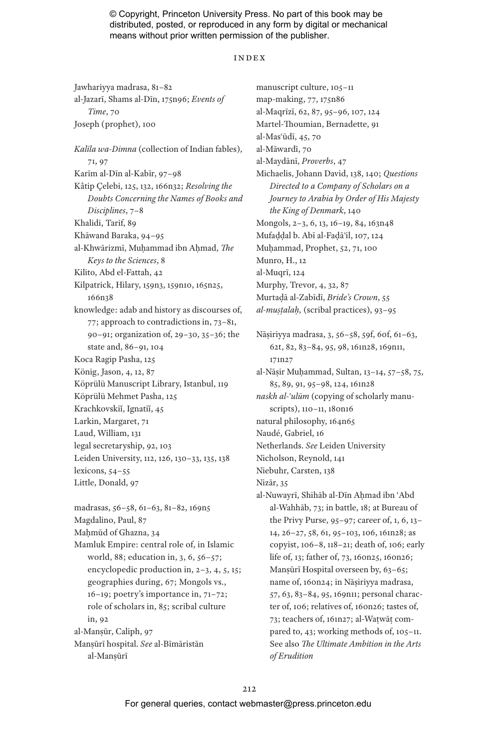## Index  $\mathcal{L}(\mathcal{D}, \mathcal{D})$

al- Jazarī, Shams al- Dīn, 175n96; *Events of Time*, 70 Joseph (prophet), 100 *Kalīla wa- Dimna* (collection of Indian fables), 71, 97 Karīm al-Dīn al-Kabīr, 97-98 Kâtip Çelebi, 125, 132, 166n32; *Resolving the Doubts Concerning the Names of Books and Disciplines*, 7– 8 Khalidi, Tarif, 89 Khāwand Baraka, 94-95 al- Khwārizmī, Muhammad ibn Ahmad, The *Keys to the Sciences*, 8 Kilito, Abd el-Fattah, 42 Kilpatrick, Hilary, 159n3, 159n10, 165n25, 166n38 knowledge: adab and history as discourses of, al-mu 77; approach to contradictions in, 73-81, 90– 91; organization of, 29– 30, 35– 36; the state and, 86-91, 104 Koca Ragip Pasha, 125 König, Jason, 4, 12, 87 Xöprülü Manuscript Library, Istanbul, 119  $85, 89, 91, 95-98, 124, 16$ 1128 Köprülü Mehmet Pasha, 125 Krachkovskiĭ, Ignatiĭ, 45 Larkin, Margaret, 71 Laud, William, 131 legal secretaryship, 92, 103 Leiden University, 112, 126, 130– 33, 135, 138 4 Religion in Britain and Ireland 119 lexicons, 54-55 Little, Donald, 97 *Preface 3 <i>Preface* 3 *Preface 3 <i>Preface* 3 *Preface* 3 *Preface* 3 *Preface* 3 *Preface* 3 *Preface* 3 *Preface* 3 *Preface* 3 *Preface* 3 *Preface* 3 *Preface* 3 *Preface* 3 *Preface* 3 *Preface* 3 *Preface* 3 *Preface* Murtadā al-Zabīdī, *Bride's Crown*, 55<sup>.</sup><br>Murtadā al-Zabīdī, *Bride's Crown*, 55<sup>.</sup>  $\frac{1}{2}$  is the  $\frac{1}{2}$  expansion of  $\frac{1}{2}$  expansion of  $\frac{1}{2}$  expansion of  $\frac{1}{2}$  expansion of  $\frac{1}{2}$  expansion of  $\frac{1}{2}$  expansion of  $\frac{1}{2}$  expansion of  $\frac{1}{2}$  expansion of  $\frac{1}{2}$  expansion

Jawhariyya madrasa, 81-82

madrasas, 56–58, 61–63, 81–82, 169n5 Magdalino, Paul, 87 Maḥmūd of Ghazna, 34 Mamluk Empire: central role of, in Islamic world, 88; education in, 3, 6,  $56 - 57$ ; encyclopedic production in,  $2-3$ ,  $4$ ,  $5$ ,  $15$ ; geographies during, 67; Mongols vs.,  $16-19$ ; poetry's importance in,  $71-72$ ; role of scholars in, 85; scribal culture in, 92 al-Mansūr, Caliph, 97 Manṣūrī hospital. *See* al- Bīmāristān al-Mansūrī  $\overline{a}$  *of Erudition* 

ra madrasa, 81-82 manuscript culture, 105-11 map-making, 77, 175n86 al-Maqrīzī, 62, 87, 95-96, 107, 124 Martel-Thoumian, Bernadette, 91 al- Masʿūdī, 45, 70 al-Māwardī, 70 al-Maydānī, Proverbs, 47 Michaelis, Johann David, 138, 140; *Questions Directed to a Company of Scholars on a Journey to Arabia by Order of His Majesty the King of Denmark*, 140 Mongols, 2-3, 6, 13, 16-19, 84, 163n48 Mufaḍḍal b. Abī al-Faḍā'il, 107, 124 Muhammad, Prophet, 52, 71, 100 al- Muqrī, 124 0, 165n25, Murphy, Trevor, 4, 32, 87 *al- muṣṭalaḥ,* (scribal practices), 93– 95 Nāsiriyya madrasa, 3, 56–58, 59f, 60f, 61–63, e and, 86–91, 104<br>
exin Basha, 125<br>
exin Basha, 125<br>
exin Basha, 125<br>
exin Basha, 125<br>
exin Basha, 125<br>
exin Basha, 125<br>
exin Basha, 125<br>
exin Basha, 125<br>
exin Basha, 125<br>
exin Basha, 125<br>
exin Basha, 125<br>
exin Basha, 125<br> 171n27 Jason, 4, 12, 87 al-Nāṣir Muḥammad, Sultan, 13–14, 57–58, 75, 85, 89, 91, 95-98, 124, 161n28 ii Mehmet Pasha, 125 *naskh al-'ulūm* (copying of scholarly manu-<br><sup>2</sup> Patrick Line 60 <sup>occini</sup>e 11 180016 scripts), 110–11, 180n16<br>  $scripts$ , 110–11, 180n16 natural philosophy, 164n65 Villiam, 131 Naudé, Gabriel, 16 1 The Tradit, Cabriel, 16<br>Tretaryship, 92, 103 **See** Leiden University Nicholson, Reynold, 141 s, 54–55 Niebuhr, Carsten, 138 Nizār, 35 al-Nuwayrī, Shihāb al-Dīn Aḥmad ibn ʿAbd  $\frac{1}{2}$ al- Wahhāb, 73; in battle, 18; at Bureau of ino, Paul, 87 the Privy Purse, 95-97; career of, 1, 6, 13-14, 26–27, 58, 61, 95–103, 106, 161n28; as<br> **Contrading Contrading 237** and Further Reading luk Empire: central role of, in Islamic copyist, 106–8, 118–21; death of, 106; early could be a characteristic attention in a contracted by the contracted by the contracted by the contracted by the contracted by the contra ; life of, 13; father of, 73, 160n25, 160n26; Manṣūrī Hospital overseen by, 63-65; name of, 160n24; in Nāṣiriyya madrasa,<br>*Citera Scholarship and Further Co. 80, 84, 95, 16001* 2370000 above 57, 63, 83– 84, 95, 169n11; personal character of, 106; relatives of, 160n26; tastes of, 73; teachers of, 161n27; al-Watwāt compared to, 43; working methods of,  $105-11$ . See also *The Ultimate Ambition in the Arts* 55<br>al-Nuwayrī. Shihāb al-Dīn Ahmad ibn ʿA re te

212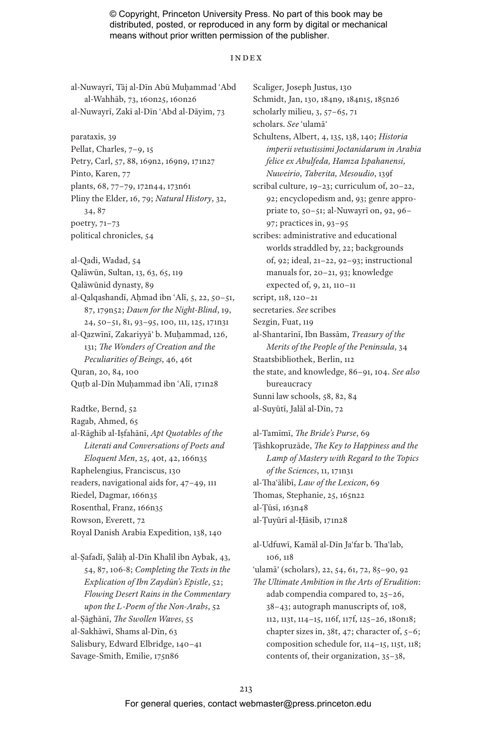## Index  $\mathcal{L}$  copyright,  $\mathcal{L}$  and  $\mathcal{L}$  this book may be the this book may be this book may be this book may be this book may be this book may be the this book may be the this book may be the this book may be the this b

al-Nuwayrī, Tāj al-Dīn Abū Muḥammad ʿAbd — Scaliger, Joseph Justu al- Wahhāb, 73, 160n25, 160n26 al-Nuwayrī, Zakī al-Dīn 'Abd al-Dāyim, 73

parataxis, 39 Pellat, Charles, 7-9, 15 Petry, Carl, 57, 88, 169n2, 169n9, 171n27 Pinto, Karen, 77 plants, 68, 77– 79, 172n44, 173n61 Pliny the Elder, 16, 79; *Natural History*, 32, 34, 87 poetry, 71-73 political chronicles, 54

al-Qadi, Wadad, 54 Qalāwūn, Sultan, 13, 63, 65, 119

Qalāwūnid dynasty, 89

87, 179n52; *Dawn for the Night- Blind*, 19, al- Qazwīnī, Zakariyyāʾ b. Muḥammad, 126,

131; The Wonders of Creation and the  *Peculiarities of Beings*, 46, 46t Quran, 20, 84, 100

Radtke, Bernd, 52 Ragab, Ahmed, 65 al- Rāghib al- Iṣfahānī, *Apt Quotables of the*  3 Captivity 94 *Literati and Conversations of Poets and Eloquent Men*, 25, 40t, 42, 166n35 Raphelengius, Franciscus, 130 readers, navigational aids for, 47– 49, 111 Riedel, Dagmar, 166n35 Rosenthal, Franz, 166n35 Rowson, Everett, 72 Royal Danish Arabia Expedition, 138, 140 Bernd, 52 al-Suyūtī, Jalāl al-Dīn, 72 al-Tuyūrī al-Ḥāsib, 171n28

al- Ṣafadī, Ṣalāḥ al-Dīn Khalīl ibn Aybak, 43, *106* 54, 87, 106- 8; *Completing the Texts in the Explication of Ibn Zaydūn's Epistle*, 52; *Flowing Desert Rains in the Commentary upon the L- Poem of the Non- Arabs*, 52 al-Sāghānī, *The Swollen Waves*, 55 al-Sakhāwī, Shams al-Dīn, 63 Salisbury, Edward Elbridge, 140-41 Savage- Smith, Emilie, 175n86

 $a<sub>1</sub>$  and  $a<sub>2</sub>$  and  $a<sub>3</sub>$  and  $b<sub>1</sub>$ ,  $c<sub>2</sub>$ ,  $d<sub>3</sub>$ ,  $d<sub>4</sub>$ ,  $e<sub>3</sub>$ ,  $f<sub>4</sub>$ ,  $f<sub>5</sub>$ ,  $f<sub>6</sub>$ ,  $f<sub>7</sub>$ ,  $f<sub>8</sub>$ ,  $f<sub>9</sub>$ ,  $f<sub>1</sub>$ ,  $f<sub>1</sub>$ ,  $f<sub>1</sub>$ ,  $f<sub>2</sub>$ 24, 50–51, 81, 93–95, 100, 111, 125, 171n31 Sezgin, Fuat, 119 Quṭb al-Dīn Muḥammad ibn ʿAlī, 171n28 bureaucracy Scaliger, Joseph Justus, 130 Schmidt, Jan, 130, 184n9, 184n15, 185n26 m, 73 scholarly milieu, 3, 57–65, 71 scholars. *See* ʿulamāʾ Schultens, Albert, 4, 135, 138, 140; *Historia imperii vetustissimi Joctanidarum in Arabia*  27 felice ex Abulfeda, Hamza Ispahanensi,  *Nuweirio, Taberita, Mesoudio*, 139f scribal culture, 19-23; curriculum of, 20-22, 92; encyclopedism and, 93; genre appropriate to, 50–51; al-Nuwayrī on, 92, 96– 97; practices in, 93– 95 scribes: administrative and educational worlds straddled by, 22; backgrounds  $\alpha$ *b*, 92; *deal*, 21–22, 92–93; instructional  $\alpha$ <sup>*Preface Preface x*<sup>2</sup></sup> manuals for, 20-21, 93; knowledge expected of, 9, 21, 110-11 script, 118, 120-21 secretaries. *See* scribes Sezgin, Fuat, 119 al- Shantarīnī, Ibn Bassām, *Treasury of the Fhe Wonders of Creation and the Merits of the People of the Peninsula*, 34<br>*Liquities of Paings, 16, 16t* Staatsbibliothek, Berlin, 112 o, 84, 100 the state, and knowledge, 86-91, 104. See also bureaucracy Sunni law schools, 58, 82, 84 International Control Control of the Bussain, Frederick of the Peninsula, 3.<br>In Worders of Creation and the Merits of the People of the Peninsula, 3.  $\frac{2}{3}$  Sunni law schools, 58, 82, 84<br>Regal 61 Suvari Ielāl el Dīn 72

al-Tamīmī, *The Bride's Purse*, 69 <sub>and the</sub> *and the Cabdotts of the and and the matter and the strust, og attand Conversations of Poets and* Tashkopruzāde, *The Key to Happiness and the Lamp of Mastery with Regard to the Topics*<br>  $Lamp$  *Lamp of Mastery with Regard to the Topics* ngius, Franciscus, 130 of the Sciences, 11, 171n31 al-Thaʿālibī, *Law of the Lexicon*, 69 l, Dagmar, 166n35 Thomas, Stephanie, 25, 165n22 al-Tūsī, 163n48  $\frac{1}{4}$  The and  $\frac{1}{5}$  are not  $\frac{1}{5}$  and  $\frac{1}{5}$  are  $\frac{1}{5}$  and  $\frac{1}{5}$  are  $\frac{1}{5}$  are  $\frac{1}{5}$  are  $\frac{1}{5}$  are  $\frac{1}{5}$  are  $\frac{1}{5}$  are  $\frac{1}{5}$  are  $\frac{1}{5}$  are  $\frac{1}{5}$  are  $\frac{1}{5}$  are  $\frac$ 

a Expedition, 138, 140<br>al-Udfuwī, Kamāl al-Dīn Jaʿfar b. Thaʿlab, 106, 118 ʿulamāʾ (scholars), 22, 54, 61, 72, 85– 90, 92 *bn Zaydūn's Epistle, 52;* The Ultimate Ambition in the Arts of Erudition:<br>Pains in the Commentaure of the company is company to a 25 26 adab compendia compared to, 25-26, 38-43; autograph manuscripts of, 108, 112, 113t, 114– 15, 116f, 117f, 125– 26, 180n18; chapter sizes in,  $38t$ ,  $47$ ; character of,  $5-6$ ; composition schedule for, 114-15, 115t, 118; Emilie, 175n86 contents of, their organization, 35-38, al-Udtuwi, Kamal al-Din Ja'tar b. Tha'lab,<br>Elis Relistende Saint Patrick 2188 (2008)